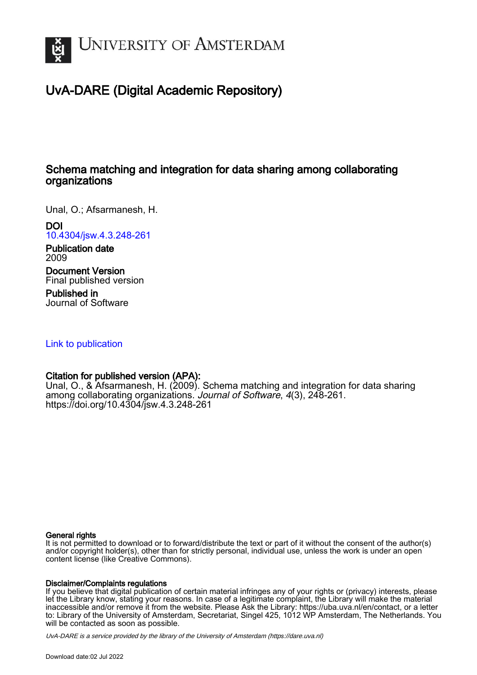

# UvA-DARE (Digital Academic Repository)

# Schema matching and integration for data sharing among collaborating organizations

Unal, O.; Afsarmanesh, H.

DOI

[10.4304/jsw.4.3.248-261](https://doi.org/10.4304/jsw.4.3.248-261)

Publication date 2009

Document Version Final published version

Published in Journal of Software

[Link to publication](https://dare.uva.nl/personal/pure/en/publications/schema-matching-and-integration-for-data-sharing-among-collaborating-organizations(216ff276-6d8c-4734-b3ac-4e64d6c3380c).html)

## Citation for published version (APA):

Unal, O., & Afsarmanesh, H. (2009). Schema matching and integration for data sharing among collaborating organizations. Journal of Software, 4(3), 248-261. <https://doi.org/10.4304/jsw.4.3.248-261>

### General rights

It is not permitted to download or to forward/distribute the text or part of it without the consent of the author(s) and/or copyright holder(s), other than for strictly personal, individual use, unless the work is under an open content license (like Creative Commons).

### Disclaimer/Complaints regulations

If you believe that digital publication of certain material infringes any of your rights or (privacy) interests, please let the Library know, stating your reasons. In case of a legitimate complaint, the Library will make the material inaccessible and/or remove it from the website. Please Ask the Library: https://uba.uva.nl/en/contact, or a letter to: Library of the University of Amsterdam, Secretariat, Singel 425, 1012 WP Amsterdam, The Netherlands. You will be contacted as soon as possible.

UvA-DARE is a service provided by the library of the University of Amsterdam (http*s*://dare.uva.nl)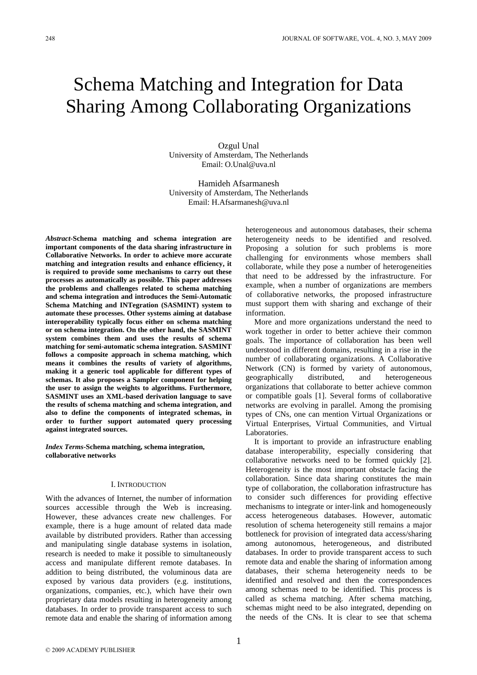# Schema Matching and Integration for Data Sharing Among Collaborating Organizations

Ozgul Unal University of Amsterdam, The Netherlands Email: O.Unal@uva.nl

Hamideh Afsarmanesh University of Amsterdam, The Netherlands Email: H.Afsarmanesh@uva.nl

*Abstract-***Schema matching and schema integration are important components of the data sharing infrastructure in Collaborative Networks. In order to achieve more accurate matching and integration results and enhance efficiency, it is required to provide some mechanisms to carry out these processes as automatically as possible. This paper addresses the problems and challenges related to schema matching and schema integration and introduces the Semi-Automatic Schema Matching and INTegration (SASMINT) system to automate these processes. Other systems aiming at database interoperability typically focus either on schema matching or on schema integration. On the other hand, the SASMINT system combines them and uses the results of schema matching for semi-automatic schema integration. SASMINT follows a composite approach in schema matching, which means it combines the results of variety of algorithms, making it a generic tool applicable for different types of schemas. It also proposes a Sampler component for helping the user to assign the weights to algorithms. Furthermore, SASMINT uses an XML-based derivation language to save the results of schema matching and schema integration, and also to define the components of integrated schemas, in order to further support automated query processing against integrated sources.** 

*Index Terms***-Schema matching, schema integration, collaborative networks** 

#### I. INTRODUCTION

With the advances of Internet, the number of information sources accessible through the Web is increasing. However, these advances create new challenges. For example, there is a huge amount of related data made available by distributed providers. Rather than accessing and manipulating single database systems in isolation, research is needed to make it possible to simultaneously access and manipulate different remote databases. In addition to being distributed, the voluminous data are exposed by various data providers (e.g. institutions, organizations, companies, etc.), which have their own proprietary data models resulting in heterogeneity among databases. In order to provide transparent access to such remote data and enable the sharing of information among heterogeneous and autonomous databases, their schema heterogeneity needs to be identified and resolved. Proposing a solution for such problems is more challenging for environments whose members shall collaborate, while they pose a number of heterogeneities that need to be addressed by the infrastructure. For example, when a number of organizations are members of collaborative networks, the proposed infrastructure must support them with sharing and exchange of their information.

More and more organizations understand the need to work together in order to better achieve their common goals. The importance of collaboration has been well understood in different domains, resulting in a rise in the number of collaborating organizations. A Collaborative Network (CN) is formed by variety of autonomous, geographically distributed, and heterogeneous organizations that collaborate to better achieve common or compatible goals [1]. Several forms of collaborative networks are evolving in parallel. Among the promising types of CNs, one can mention Virtual Organizations or Virtual Enterprises, Virtual Communities, and Virtual Laboratories.

It is important to provide an infrastructure enabling database interoperability, especially considering that collaborative networks need to be formed quickly [2]. Heterogeneity is the most important obstacle facing the collaboration. Since data sharing constitutes the main type of collaboration, the collaboration infrastructure has to consider such differences for providing effective mechanisms to integrate or inter-link and homogeneously access heterogeneous databases. However, automatic resolution of schema heterogeneity still remains a major bottleneck for provision of integrated data access/sharing among autonomous, heterogeneous, and distributed databases. In order to provide transparent access to such remote data and enable the sharing of information among databases, their schema heterogeneity needs to be identified and resolved and then the correspondences among schemas need to be identified. This process is called as schema matching. After schema matching, schemas might need to be also integrated, depending on the needs of the CNs. It is clear to see that schema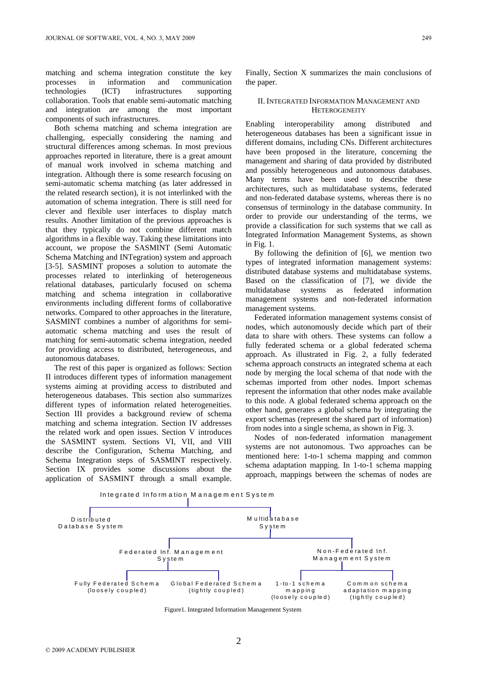matching and schema integration constitute the key processes in information and communication technologies (ICT) infrastructures supporting collaboration. Tools that enable semi-automatic matching and integration are among the most important components of such infrastructures.

Both schema matching and schema integration are challenging, especially considering the naming and structural differences among schemas. In most previous approaches reported in literature, there is a great amount of manual work involved in schema matching and integration. Although there is some research focusing on semi-automatic schema matching (as later addressed in the related research section), it is not interlinked with the automation of schema integration. There is still need for clever and flexible user interfaces to display match results. Another limitation of the previous approaches is that they typically do not combine different match algorithms in a flexible way. Taking these limitations into account, we propose the SASMINT (Semi Automatic Schema Matching and INTegration) system and approach [3-5]. SASMINT proposes a solution to automate the processes related to interlinking of heterogeneous relational databases, particularly focused on schema matching and schema integration in collaborative environments including different forms of collaborative networks. Compared to other approaches in the literature, SASMINT combines a number of algorithms for semiautomatic schema matching and uses the result of matching for semi-automatic schema integration, needed for providing access to distributed, heterogeneous, and autonomous databases.

The rest of this paper is organized as follows: Section II introduces different types of information management systems aiming at providing access to distributed and heterogeneous databases. This section also summarizes different types of information related heterogeneities. Section III provides a background review of schema matching and schema integration. Section IV addresses the related work and open issues. Section V introduces the SASMINT system. Sections VI, VII, and VIII describe the Configuration, Schema Matching, and Schema Integration steps of SASMINT respectively. Section IX provides some discussions about the application of SASMINT through a small example.

Finally, Section X summarizes the main conclusions of the paper.

#### II. INTEGRATED INFORMATION MANAGEMENT AND **HETEROGENEITY**

Enabling interoperability among distributed and heterogeneous databases has been a significant issue in different domains, including CNs. Different architectures have been proposed in the literature, concerning the management and sharing of data provided by distributed and possibly heterogeneous and autonomous databases. Many terms have been used to describe these architectures, such as multidatabase systems, federated and non-federated database systems, whereas there is no consensus of terminology in the database community. In order to provide our understanding of the terms, we provide a classification for such systems that we call as Integrated Information Management Systems, as shown in Fig. 1.

By following the definition of [6], we mention two types of integrated information management systems: distributed database systems and multidatabase systems. Based on the classification of [7], we divide the multidatabase systems as federated information management systems and non-federated information management systems.

Federated information management systems consist of nodes, which autonomously decide which part of their data to share with others. These systems can follow a fully federated schema or a global federated schema approach. As illustrated in Fig. 2, a fully federated schema approach constructs an integrated schema at each node by merging the local schema of that node with the schemas imported from other nodes. Import schemas represent the information that other nodes make available to this node. A global federated schema approach on the other hand, generates a global schema by integrating the export schemas (represent the shared part of information) from nodes into a single schema, as shown in Fig. 3.

Nodes of non-federated information management systems are not autonomous. Two approaches can be mentioned here: 1-to-1 schema mapping and common schema adaptation mapping. In 1-to-1 schema mapping approach, mappings between the schemas of nodes are



Figure1. Integrated Information Management System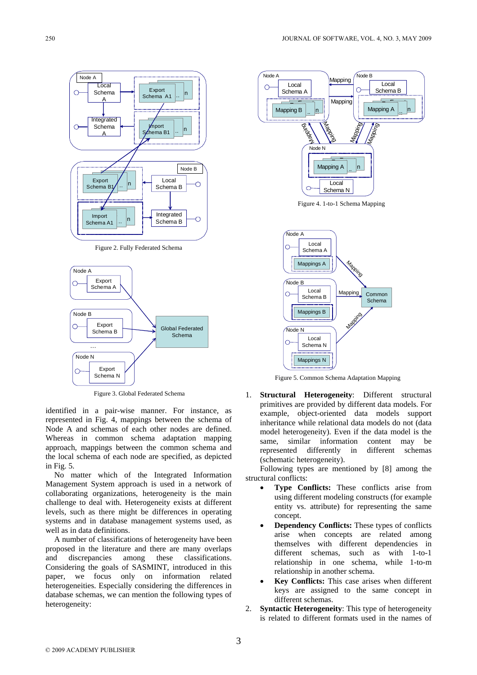

Figure 2. Fully Federated Schema



Figure 3. Global Federated Schema

identified in a pair-wise manner. For instance, as represented in Fig. 4, mappings between the schema of Node A and schemas of each other nodes are defined. Whereas in common schema adaptation mapping approach, mappings between the common schema and the local schema of each node are specified, as depicted in Fig. 5.

No matter which of the Integrated Information Management System approach is used in a network of collaborating organizations, heterogeneity is the main challenge to deal with. Heterogeneity exists at different levels, such as there might be differences in operating systems and in database management systems used, as well as in data definitions.

A number of classifications of heterogeneity have been proposed in the literature and there are many overlaps and discrepancies among these classifications. Considering the goals of SASMINT, introduced in this paper, we focus only on information related heterogeneities. Especially considering the differences in database schemas, we can mention the following types of heterogeneity:



Figure 4. 1-to-1 Schema Mapping



Figure 5. Common Schema Adaptation Mapping

1. **Structural Heterogeneity**: Different structural primitives are provided by different data models. For example, object-oriented data models support inheritance while relational data models do not (data model heterogeneity). Even if the data model is the same, similar information content may be represented differently in different schemas (schematic heterogeneity).

Following types are mentioned by [8] among the structural conflicts:

- **Type Conflicts:** These conflicts arise from using different modeling constructs (for example entity vs. attribute) for representing the same concept.
- **Dependency Conflicts:** These types of conflicts arise when concepts are related among themselves with different dependencies in different schemas, such as with 1-to-1 relationship in one schema, while 1-to-m relationship in another schema.
- **Key Conflicts:** This case arises when different keys are assigned to the same concept in different schemas.
- 2. **Syntactic Heterogeneity**: This type of heterogeneity is related to different formats used in the names of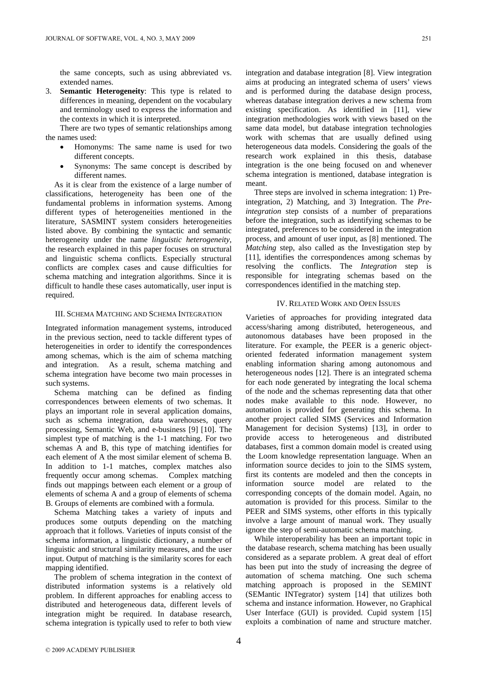the same concepts, such as using abbreviated vs. extended names.

3. **Semantic Heterogeneity**: This type is related to differences in meaning, dependent on the vocabulary and terminology used to express the information and the contexts in which it is interpreted.

There are two types of semantic relationships among the names used:

- Homonyms: The same name is used for two different concepts.
- Synonyms: The same concept is described by different names.

As it is clear from the existence of a large number of classifications, heterogeneity has been one of the fundamental problems in information systems. Among different types of heterogeneities mentioned in the literature, SASMINT system considers heterogeneities listed above. By combining the syntactic and semantic heterogeneity under the name *linguistic heterogeneity*, the research explained in this paper focuses on structural and linguistic schema conflicts. Especially structural conflicts are complex cases and cause difficulties for schema matching and integration algorithms. Since it is difficult to handle these cases automatically, user input is required.

#### III. SCHEMA MATCHING AND SCHEMA INTEGRATION

Integrated information management systems, introduced in the previous section, need to tackle different types of heterogeneities in order to identify the correspondences among schemas, which is the aim of schema matching and integration. As a result, schema matching and schema integration have become two main processes in such systems.

Schema matching can be defined as finding correspondences between elements of two schemas. It plays an important role in several application domains, such as schema integration, data warehouses, query processing, Semantic Web, and e-business [9] [10]. The simplest type of matching is the 1-1 matching. For two schemas A and B, this type of matching identifies for each element of A the most similar element of schema B. In addition to 1-1 matches, complex matches also frequently occur among schemas. Complex matching finds out mappings between each element or a group of elements of schema A and a group of elements of schema B. Groups of elements are combined with a formula.

Schema Matching takes a variety of inputs and produces some outputs depending on the matching approach that it follows. Varieties of inputs consist of the schema information, a linguistic dictionary, a number of linguistic and structural similarity measures, and the user input. Output of matching is the similarity scores for each mapping identified.

The problem of schema integration in the context of distributed information systems is a relatively old problem. In different approaches for enabling access to distributed and heterogeneous data, different levels of integration might be required. In database research, schema integration is typically used to refer to both view

integration and database integration [8]. View integration aims at producing an integrated schema of users' views and is performed during the database design process, whereas database integration derives a new schema from existing specification. As identified in [11], view integration methodologies work with views based on the same data model, but database integration technologies work with schemas that are usually defined using heterogeneous data models. Considering the goals of the research work explained in this thesis, database integration is the one being focused on and whenever schema integration is mentioned, database integration is meant.

Three steps are involved in schema integration: 1) Preintegration, 2) Matching, and 3) Integration. The *Preintegration* step consists of a number of preparations before the integration, such as identifying schemas to be integrated, preferences to be considered in the integration process, and amount of user input, as [8] mentioned. The *Matching* step, also called as the Investigation step by [11], identifies the correspondences among schemas by resolving the conflicts. The *Integration* step is responsible for integrating schemas based on the correspondences identified in the matching step.

#### IV. RELATED WORK AND OPEN ISSUES

Varieties of approaches for providing integrated data access/sharing among distributed, heterogeneous, and autonomous databases have been proposed in the literature. For example, the PEER is a generic objectoriented federated information management system enabling information sharing among autonomous and heterogeneous nodes [12]. There is an integrated schema for each node generated by integrating the local schema of the node and the schemas representing data that other nodes make available to this node. However, no automation is provided for generating this schema. In another project called SIMS (Services and Information Management for decision Systems) [13], in order to provide access to heterogeneous and distributed databases, first a common domain model is created using the Loom knowledge representation language. When an information source decides to join to the SIMS system, first its contents are modeled and then the concepts in information source model are related to the corresponding concepts of the domain model. Again, no automation is provided for this process. Similar to the PEER and SIMS systems, other efforts in this typically involve a large amount of manual work. They usually ignore the step of semi-automatic schema matching.

While interoperability has been an important topic in the database research, schema matching has been usually considered as a separate problem. A great deal of effort has been put into the study of increasing the degree of automation of schema matching. One such schema matching approach is proposed in the SEMINT (SEMantic INTegrator) system [14] that utilizes both schema and instance information. However, no Graphical User Interface (GUI) is provided. Cupid system [15] exploits a combination of name and structure matcher.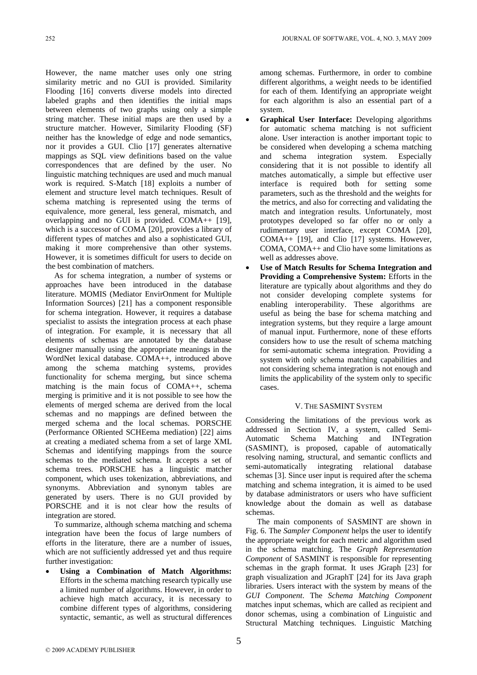However, the name matcher uses only one string similarity metric and no GUI is provided. Similarity Flooding [16] converts diverse models into directed labeled graphs and then identifies the initial maps between elements of two graphs using only a simple string matcher. These initial maps are then used by a structure matcher. However, Similarity Flooding (SF) neither has the knowledge of edge and node semantics, nor it provides a GUI. Clio [17] generates alternative mappings as SQL view definitions based on the value correspondences that are defined by the user. No linguistic matching techniques are used and much manual work is required. S-Match [18] exploits a number of element and structure level match techniques. Result of schema matching is represented using the terms of equivalence, more general, less general, mismatch, and overlapping and no GUI is provided. COMA++ [19], which is a successor of COMA [20], provides a library of different types of matches and also a sophisticated GUI, making it more comprehensive than other systems. However, it is sometimes difficult for users to decide on the best combination of matchers.

As for schema integration, a number of systems or approaches have been introduced in the database literature. MOMIS (Mediator EnvirOnment for Multiple Information Sources) [21] has a component responsible for schema integration. However, it requires a database specialist to assists the integration process at each phase of integration. For example, it is necessary that all elements of schemas are annotated by the database designer manually using the appropriate meanings in the WordNet lexical database. COMA++, introduced above among the schema matching systems, provides functionality for schema merging, but since schema matching is the main focus of COMA++, schema merging is primitive and it is not possible to see how the elements of merged schema are derived from the local schemas and no mappings are defined between the merged schema and the local schemas. PORSCHE (Performance ORiented SCHEema mediation) [22] aims at creating a mediated schema from a set of large XML Schemas and identifying mappings from the source schemas to the mediated schema. It accepts a set of schema trees. PORSCHE has a linguistic matcher component, which uses tokenization, abbreviations, and synonyms. Abbreviation and synonym tables are generated by users. There is no GUI provided by PORSCHE and it is not clear how the results of integration are stored.

To summarize, although schema matching and schema integration have been the focus of large numbers of efforts in the literature, there are a number of issues, which are not sufficiently addressed yet and thus require further investigation:

• **Using a Combination of Match Algorithms:**  Efforts in the schema matching research typically use a limited number of algorithms. However, in order to achieve high match accuracy, it is necessary to combine different types of algorithms, considering syntactic, semantic, as well as structural differences among schemas. Furthermore, in order to combine different algorithms, a weight needs to be identified for each of them. Identifying an appropriate weight for each algorithm is also an essential part of a system.

- **Graphical User Interface:** Developing algorithms for automatic schema matching is not sufficient alone. User interaction is another important topic to be considered when developing a schema matching and schema integration system. Especially considering that it is not possible to identify all matches automatically, a simple but effective user interface is required both for setting some parameters, such as the threshold and the weights for the metrics, and also for correcting and validating the match and integration results. Unfortunately, most prototypes developed so far offer no or only a rudimentary user interface, except COMA [20], COMA++ [19], and Clio [17] systems. However, COMA, COMA++ and Clio have some limitations as well as addresses above.
- Use of Match Results for Schema Integration and **Providing a Comprehensive System:** Efforts in the literature are typically about algorithms and they do not consider developing complete systems for enabling interoperability. These algorithms are useful as being the base for schema matching and integration systems, but they require a large amount of manual input. Furthermore, none of these efforts considers how to use the result of schema matching for semi-automatic schema integration. Providing a system with only schema matching capabilities and not considering schema integration is not enough and limits the applicability of the system only to specific cases.

#### V. THE SASMINT SYSTEM

Considering the limitations of the previous work as addressed in Section IV, a system, called Semi-Automatic Schema Matching and INTegration (SASMINT), is proposed, capable of automatically resolving naming, structural, and semantic conflicts and semi-automatically integrating relational database schemas [3]. Since user input is required after the schema matching and schema integration, it is aimed to be used by database administrators or users who have sufficient knowledge about the domain as well as database schemas.

 The main components of SASMINT are shown in Fig. 6. The *Sampler Component* helps the user to identify the appropriate weight for each metric and algorithm used in the schema matching. The *Graph Representation Component* of SASMINT is responsible for representing schemas in the graph format. It uses JGraph [23] for graph visualization and JGraphT [24] for its Java graph libraries. Users interact with the system by means of the *GUI Component*. The *Schema Matching Component* matches input schemas, which are called as recipient and donor schemas, using a combination of Linguistic and Structural Matching techniques. Linguistic Matching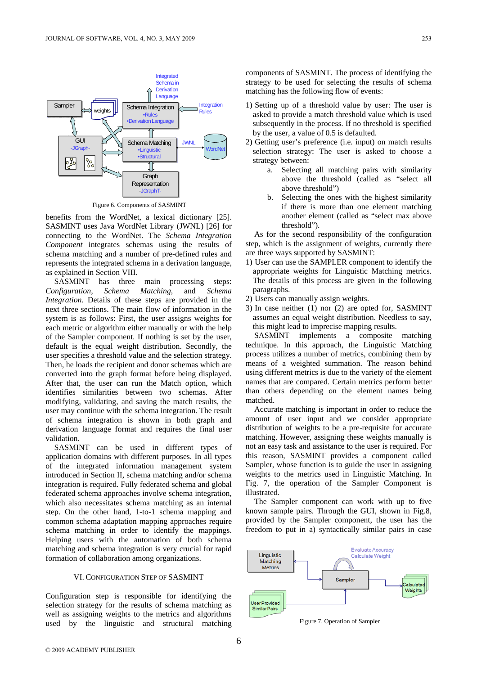

Figure 6. Components of SASMINT

benefits from the WordNet, a lexical dictionary [25]. SASMINT uses Java WordNet Library (JWNL) [26] for connecting to the WordNet. The *Schema Integration Component* integrates schemas using the results of schema matching and a number of pre-defined rules and represents the integrated schema in a derivation language, as explained in Section VIII.

SASMINT has three main processing steps: *Configuration, Schema Matching*, and *Schema Integration*. Details of these steps are provided in the next three sections. The main flow of information in the system is as follows: First, the user assigns weights for each metric or algorithm either manually or with the help of the Sampler component. If nothing is set by the user, default is the equal weight distribution. Secondly, the user specifies a threshold value and the selection strategy. Then, he loads the recipient and donor schemas which are converted into the graph format before being displayed. After that, the user can run the Match option, which identifies similarities between two schemas. After modifying, validating, and saving the match results, the user may continue with the schema integration. The result of schema integration is shown in both graph and derivation language format and requires the final user validation.

SASMINT can be used in different types of application domains with different purposes. In all types of the integrated information management system introduced in Section II, schema matching and/or schema integration is required. Fully federated schema and global federated schema approaches involve schema integration, which also necessitates schema matching as an internal step. On the other hand, 1-to-1 schema mapping and common schema adaptation mapping approaches require schema matching in order to identify the mappings. Helping users with the automation of both schema matching and schema integration is very crucial for rapid formation of collaboration among organizations.

#### VI. CONFIGURATION STEP OF SASMINT

Configuration step is responsible for identifying the selection strategy for the results of schema matching as well as assigning weights to the metrics and algorithms used by the linguistic and structural matching components of SASMINT. The process of identifying the strategy to be used for selecting the results of schema matching has the following flow of events:

- 1) Setting up of a threshold value by user: The user is asked to provide a match threshold value which is used subsequently in the process. If no threshold is specified by the user, a value of 0.5 is defaulted.
- 2) Getting user's preference (i.e. input) on match results selection strategy: The user is asked to choose a strategy between:
	- a. Selecting all matching pairs with similarity above the threshold (called as "select all above threshold")
	- b. Selecting the ones with the highest similarity if there is more than one element matching another element (called as "select max above threshold").

As for the second responsibility of the configuration step, which is the assignment of weights, currently there are three ways supported by SASMINT:

- 1) User can use the SAMPLER component to identify the appropriate weights for Linguistic Matching metrics. The details of this process are given in the following paragraphs.
- 2) Users can manually assign weights.
- 3) In case neither (1) nor (2) are opted for, SASMINT assumes an equal weight distribution. Needless to say, this might lead to imprecise mapping results.

SASMINT implements a composite matching technique. In this approach, the Linguistic Matching process utilizes a number of metrics, combining them by means of a weighted summation. The reason behind using different metrics is due to the variety of the element names that are compared. Certain metrics perform better than others depending on the element names being matched.

Accurate matching is important in order to reduce the amount of user input and we consider appropriate distribution of weights to be a pre-requisite for accurate matching. However, assigning these weights manually is not an easy task and assistance to the user is required. For this reason, SASMINT provides a component called Sampler, whose function is to guide the user in assigning weights to the metrics used in Linguistic Matching. In Fig. 7, the operation of the Sampler Component is illustrated.

The Sampler component can work with up to five known sample pairs. Through the GUI, shown in Fig.8, provided by the Sampler component, the user has the freedom to put in a) syntactically similar pairs in case



Figure 7. Operation of Sampler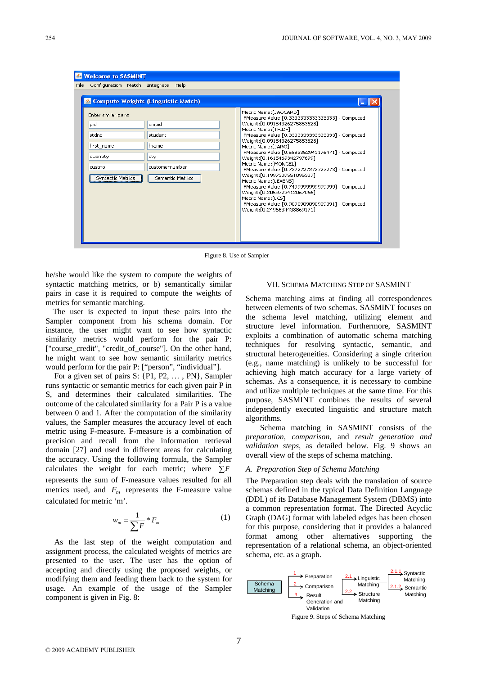| <b>Welcome to SASMINT</b><br>File<br>Configuration Match Integrate Help<br>& Compute Weights (Linguistic Match) |                                                                        |                                                                                                                                                                                                                                                                                                                                                                                                                                                                                                                                                                                                                                                             |
|-----------------------------------------------------------------------------------------------------------------|------------------------------------------------------------------------|-------------------------------------------------------------------------------------------------------------------------------------------------------------------------------------------------------------------------------------------------------------------------------------------------------------------------------------------------------------------------------------------------------------------------------------------------------------------------------------------------------------------------------------------------------------------------------------------------------------------------------------------------------------|
| Enter similar pairs<br>pid<br>stdnt<br>first name<br>quantity<br>custno<br>Syntactic Metrics                    | empid<br>student<br>fname<br>qty<br>customernumber<br>Semantic Metrics | Metric Name:[JACCARD]<br>FMeasure Value: [0.3333333333333333] - Computed<br>Weight: [0.09154326275853628]<br>Metric Name: [TFIDF]<br>FMeasure Value: [0.3333333333333333] - Computed<br>Weight: [0.09154326275853628]<br>Metric Name:[JARO]<br>FMeasure Value: [0.5882352941176471] - Computed<br>Weight: [0.1615469342797699]<br>Metric Name: [MONGEL]<br>FMeasure Value:[0.7272727272727273] - Computed<br>Weight: [0.1997307551095337]<br>Metric Name: [LEVEN5]<br>FMeasure Value:[0.7499999999999999] - Computed<br>Weight:[0.2059723412067066]<br>Metric Name:[LCS]<br>FMeasure Value: [0,9090909090909091] - Computed<br>Weight: [0,2496634438869171] |

Figure 8. Use of Sampler

he/she would like the system to compute the weights of syntactic matching metrics, or b) semantically similar pairs in case it is required to compute the weights of metrics for semantic matching.

The user is expected to input these pairs into the Sampler component from his schema domain. For instance, the user might want to see how syntactic similarity metrics would perform for the pair P: ["course\_credit", "credit\_of\_course"]. On the other hand, he might want to see how semantic similarity metrics would perform for the pair P: ["person", "individual"].

For a given set of pairs S: {P1, P2, … , PN}, Sampler runs syntactic or semantic metrics for each given pair P in S, and determines their calculated similarities. The outcome of the calculated similarity for a Pair P is a value between 0 and 1. After the computation of the similarity values, the Sampler measures the accuracy level of each metric using F-measure. F-measure is a combination of precision and recall from the information retrieval domain [27] and used in different areas for calculating the accuracy. Using the following formula, the Sampler calculates the weight for each metric; where  $\sum F$ represents the sum of F-measure values resulted for all metrics used, and  $F_m$  represents the F-measure value calculated for metric 'm'.

$$
w_m = \frac{1}{\sum F} * F_m \tag{1}
$$

As the last step of the weight computation and assignment process, the calculated weights of metrics are presented to the user. The user has the option of accepting and directly using the proposed weights, or modifying them and feeding them back to the system for usage. An example of the usage of the Sampler component is given in Fig. 8:

#### VII. SCHEMA MATCHING STEP OF SASMINT

Schema matching aims at finding all correspondences between elements of two schemas. SASMINT focuses on the schema level matching, utilizing element and structure level information. Furthermore, SASMINT exploits a combination of automatic schema matching techniques for resolving syntactic, semantic, and structural heterogeneities. Considering a single criterion (e.g., name matching) is unlikely to be successful for achieving high match accuracy for a large variety of schemas. As a consequence, it is necessary to combine and utilize multiple techniques at the same time. For this purpose, SASMINT combines the results of several independently executed linguistic and structure match algorithms.

Schema matching in SASMINT consists of the *preparation*, *comparison*, and *result generation and validation steps*, as detailed below. Fig. 9 shows an overall view of the steps of schema matching.

#### *A. Preparation Step of Schema Matching*

The Preparation step deals with the translation of source schemas defined in the typical Data Definition Language (DDL) of its Database Management System (DBMS) into a common representation format. The Directed Acyclic Graph (DAG) format with labeled edges has been chosen for this purpose, considering that it provides a balanced format among other alternatives supporting the representation of a relational schema, an object-oriented schema, etc. as a graph.



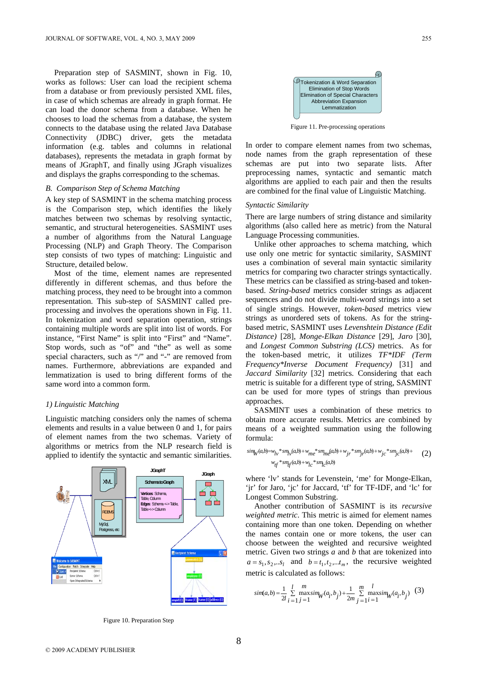Preparation step of SASMINT, shown in Fig. 10, works as follows: User can load the recipient schema from a database or from previously persisted XML files, in case of which schemas are already in graph format. He can load the donor schema from a database. When he chooses to load the schemas from a database, the system connects to the database using the related Java Database Connectivity (JDBC) driver, gets the metadata information (e.g. tables and columns in relational databases), represents the metadata in graph format by means of JGraphT, and finally using JGraph visualizes and displays the graphs corresponding to the schemas.

#### *B. Comparison Step of Schema Matching*

A key step of SASMINT in the schema matching process is the Comparison step, which identifies the likely matches between two schemas by resolving syntactic, semantic, and structural heterogeneities. SASMINT uses a number of algorithms from the Natural Language Processing (NLP) and Graph Theory. The Comparison step consists of two types of matching: Linguistic and Structure, detailed below.

Most of the time, element names are represented differently in different schemas, and thus before the matching process, they need to be brought into a common representation. This sub-step of SASMINT called preprocessing and involves the operations shown in Fig. 11. In tokenization and word separation operation, strings containing multiple words are split into list of words. For instance, "First Name" is split into "First" and "Name". Stop words, such as "of" and "the" as well as some special characters, such as "/" and "-" are removed from names. Furthermore, abbreviations are expanded and lemmatization is used to bring different forms of the same word into a common form.

#### *1) Linguistic Matching*

Linguistic matching considers only the names of schema elements and results in a value between 0 and 1, for pairs of element names from the two schemas. Variety of algorithms or metrics from the NLP research field is applied to identify the syntactic and semantic similarities.



Figure 10. Preparation Step



Figure 11. Pre-processing operations

In order to compare element names from two schemas, node names from the graph representation of these schemas are put into two separate lists. After preprocessing names, syntactic and semantic match algorithms are applied to each pair and then the results are combined for the final value of Linguistic Matching.

#### *Syntactic Similarity*

There are large numbers of string distance and similarity algorithms (also called here as metric) from the Natural Language Processing communities.

Unlike other approaches to schema matching, which use only one metric for syntactic similarity, SASMINT uses a combination of several main syntactic similarity metrics for comparing two character strings syntactically. These metrics can be classified as string-based and tokenbased. *String-based* metrics consider strings as adjacent sequences and do not divide multi-word strings into a set of single strings. However, *token-based* metrics view strings as unordered sets of tokens. As for the stringbased metric, SASMINT uses *Levenshtein Distance (Edit Distance)* [28], *Monge-Elkan Distance* [29], *Jaro* [30], and *Longest Common Substring (LCS)* metrics. As for the token-based metric, it utilizes *TF\*IDF (Term Frequency\*Inverse Document Frequency)* [31] and *Jaccard Similarity* [32] metrics. Considering that each metric is suitable for a different type of string, SASMINT can be used for more types of strings than previous approaches.

SASMINT uses a combination of these metrics to obtain more accurate results. Metrics are combined by means of a weighted summation using the following formula:

$$
sim_W(a,b) = w_{lv} * sm_{lv}(a,b) + w_{me} * sm_{me}(a,b) + w_{jr} * sm_{jr}(a,b) + w_{jc} * sm_{jc}(a,b) +
$$
  

$$
w_{tf} * sm_{tf}(a,b) + w_{lc} * sm_{lc}(a,b)
$$
 (2)

where 'lv' stands for Levenstein, 'me' for Monge-Elkan, 'jr' for Jaro, 'jc' for Jaccard, 'tf' for TF-IDF, and 'lc' for Longest Common Substring.

Another contribution of SASMINT is its *recursive weighted metric*. This metric is aimed for element names containing more than one token. Depending on whether the names contain one or more tokens, the user can choose between the weighted and recursive weighted metric. Given two strings *a* and *b* that are tokenized into  $a = s_1, s_2, \ldots s_l$  and  $b = t_1, t_2, \ldots t_m$ , the recursive weighted metric is calculated as follows:

$$
sim(a,b) = \frac{1}{2l} \sum_{i=1}^{l} \max_{j=1}^{m} \sum_{j=1}^{m} \sum_{j=1}^{m} \sum_{j=1}^{l} \max_{i=1}^{l} \sum_{j=1}^{m} (a_i, b_j)
$$
 (3)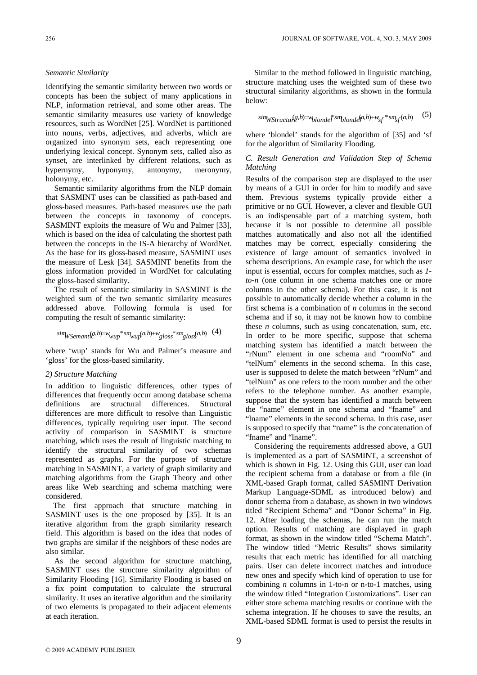#### *Semantic Similarity*

Identifying the semantic similarity between two words or concepts has been the subject of many applications in NLP, information retrieval, and some other areas. The semantic similarity measures use variety of knowledge resources, such as WordNet [25]. WordNet is partitioned into nouns, verbs, adjectives, and adverbs, which are organized into synonym sets, each representing one underlying lexical concept. Synonym sets, called also as synset, are interlinked by different relations, such as hypernymy, hyponymy, antonymy, meronymy, holonymy, etc.

Semantic similarity algorithms from the NLP domain that SASMINT uses can be classified as path-based and gloss-based measures. Path-based measures use the path between the concepts in taxonomy of concepts. SASMINT exploits the measure of Wu and Palmer [33], which is based on the idea of calculating the shortest path between the concepts in the IS-A hierarchy of WordNet. As the base for its gloss-based measure, SASMINT uses the measure of Lesk [34]. SASMINT benefits from the gloss information provided in WordNet for calculating the gloss-based similarity.

The result of semantic similarity in SASMINT is the weighted sum of the two semantic similarity measures addressed above. Following formula is used for computing the result of semantic similarity:

$$
simWSemant \& b) = w_{wup} * sm_{wup}(a,b) + w_{gloss} * sm_{gloss}(a,b) \quad (4)
$$

where 'wup' stands for Wu and Palmer's measure and 'gloss' for the gloss-based similarity.

#### *2) Structure Matching*

In addition to linguistic differences, other types of differences that frequently occur among database schema definitions are structural differences. Structural differences are more difficult to resolve than Linguistic differences, typically requiring user input. The second activity of comparison in SASMINT is structure matching, which uses the result of linguistic matching to identify the structural similarity of two schemas represented as graphs. For the purpose of structure matching in SASMINT, a variety of graph similarity and matching algorithms from the Graph Theory and other areas like Web searching and schema matching were considered.

The first approach that structure matching in SASMINT uses is the one proposed by [35]. It is an iterative algorithm from the graph similarity research field. This algorithm is based on the idea that nodes of two graphs are similar if the neighbors of these nodes are also similar.

As the second algorithm for structure matching, SASMINT uses the structure similarity algorithm of Similarity Flooding [16]. Similarity Flooding is based on a fix point computation to calculate the structural similarity. It uses an iterative algorithm and the similarity of two elements is propagated to their adjacent elements at each iteration.

Similar to the method followed in linguistic matching, structure matching uses the weighted sum of these two structural similarity algorithms, as shown in the formula below:

 $\lim_{x \to 0} W \cdot \lim_{x \to 0} g(x, b) = w_b$ *blonde*<sup>†</sup> *sm*<sub>blonde</sub><sup>[*a,b*) +  $w_{sf}$ <sup>\*</sup> *sm*<sub>sf</sub>(*a,b*) (5)</sup>

where 'blondel' stands for the algorithm of [35] and 'sf for the algorithm of Similarity Flooding.

#### *C. Result Generation and Validation Step of Schema Matching*

Results of the comparison step are displayed to the user by means of a GUI in order for him to modify and save them. Previous systems typically provide either a primitive or no GUI. However, a clever and flexible GUI is an indispensable part of a matching system, both because it is not possible to determine all possible matches automatically and also not all the identified matches may be correct, especially considering the existence of large amount of semantics involved in schema descriptions. An example case, for which the user input is essential, occurs for complex matches, such as *1 to-n* (one column in one schema matches one or more columns in the other schema). For this case, it is not possible to automatically decide whether a column in the first schema is a combination of *n* columns in the second schema and if so, it may not be known how to combine these *n* columns, such as using concatenation, sum, etc. In order to be more specific, suppose that schema matching system has identified a match between the "rNum" element in one schema and "roomNo" and "telNum" elements in the second schema. In this case, user is supposed to delete the match between "rNum" and "telNum" as one refers to the room number and the other refers to the telephone number. As another example, suppose that the system has identified a match between the "name" element in one schema and "fname" and "lname" elements in the second schema. In this case, user is supposed to specify that "name" is the concatenation of "fname" and "lname".

Considering the requirements addressed above, a GUI is implemented as a part of SASMINT, a screenshot of which is shown in Fig. 12. Using this GUI, user can load the recipient schema from a database or from a file (in XML-based Graph format, called SASMINT Derivation Markup Language-SDML as introduced below) and donor schema from a database, as shown in two windows titled "Recipient Schema" and "Donor Schema" in Fig. 12. After loading the schemas, he can run the match option. Results of matching are displayed in graph format, as shown in the window titled "Schema Match". The window titled "Metric Results" shows similarity results that each metric has identified for all matching pairs. User can delete incorrect matches and introduce new ones and specify which kind of operation to use for combining *n* columns in 1-to-n or n-to-1 matches, using the window titled "Integration Customizations". User can either store schema matching results or continue with the schema integration. If he chooses to save the results, an XML-based SDML format is used to persist the results in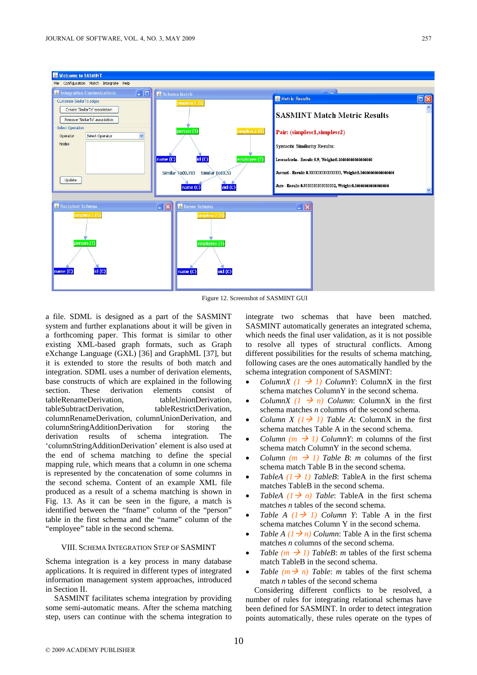

Figure 12. Screenshot of SASMINT GUI

a file. SDML is designed as a part of the SASMINT system and further explanations about it will be given in a forthcoming paper. This format is similar to other existing XML-based graph formats, such as Graph eXchange Language (GXL) [36] and GraphML [37], but it is extended to store the results of both match and integration. SDML uses a number of derivation elements, base constructs of which are explained in the following section. These derivation elements consist of tableRenameDerivation
tableRenameDerivation
tableRenameDerivation tableSubtractDerivation, tableRestrictDerivation, columnRenameDerivation, columnUnionDerivation, and columnStringAdditionDerivation for storing the derivation results of schema integration. The 'columnStringAdditionDerivation' element is also used at the end of schema matching to define the special mapping rule, which means that a column in one schema is represented by the concatenation of some columns in the second schema. Content of an example XML file produced as a result of a schema matching is shown in Fig. 13. As it can be seen in the figure, a match is identified between the "fname" column of the "person" table in the first schema and the "name" column of the "employee" table in the second schema.

#### VIII. SCHEMA INTEGRATION STEP OF SASMINT

Schema integration is a key process in many database applications. It is required in different types of integrated information management system approaches, introduced in Section II.

SASMINT facilitates schema integration by providing some semi-automatic means. After the schema matching step, users can continue with the schema integration to integrate two schemas that have been matched. SASMINT automatically generates an integrated schema, which needs the final user validation, as it is not possible to resolve all types of structural conflicts. Among different possibilities for the results of schema matching, following cases are the ones automatically handled by the schema integration component of SASMINT:

- *ColumnX*  $(I \rightarrow I)$  *ColumnY*: ColumnX in the first schema matches ColumnY in the second schema.
- *ColumnX*  $(I \rightarrow n)$  *Column*: ColumnX in the first schema matches *n* columns of the second schema.
- *Column X (1*  $\rightarrow$  *1) Table A*: ColumnX in the first schema matches Table A in the second schema.
- *Column (m*  $\rightarrow$  *1) ColumnY: m* columns of the first schema match ColumnY in the second schema.
- *Column (m*  $\rightarrow$  *1) Table B: m* columns of the first schema match Table B in the second schema.
- *TableA*  $(1 \rightarrow 1)$  *TableB*: TableA in the first schema matches TableB in the second schema.
- *TableA*  $(1 \rightarrow n)$  *Table*: TableA in the first schema matches *n* tables of the second schema.
- *Table A*  $(1 \rightarrow 1)$  *Column Y*: Table A in the first schema matches Column Y in the second schema.
- *Table A (1*  $\rightarrow$  *n) Column*: Table A in the first schema matches *n* columns of the second schema.
- *Table (m*  $\rightarrow$  *1) TableB*: *m* tables of the first schema match TableB in the second schema.
- *Table*  $(m \rightarrow n)$  *Table: m* tables of the first schema match *n* tables of the second schema

Considering different conflicts to be resolved, a number of rules for integrating relational schemas have been defined for SASMINT. In order to detect integration points automatically, these rules operate on the types of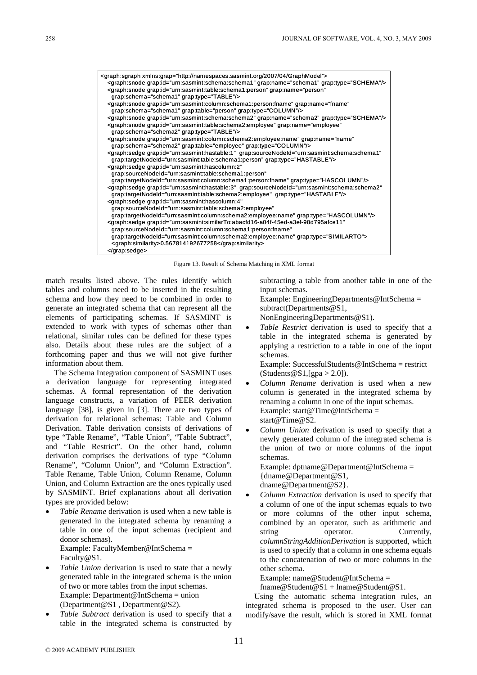

Figure 13. Result of Schema Matching in XML format

match results listed above. The rules identify which tables and columns need to be inserted in the resulting schema and how they need to be combined in order to generate an integrated schema that can represent all the elements of participating schemas. If SASMINT is extended to work with types of schemas other than relational, similar rules can be defined for these types also. Details about these rules are the subject of a forthcoming paper and thus we will not give further information about them.

The Schema Integration component of SASMINT uses a derivation language for representing integrated schemas. A formal representation of the derivation language constructs, a variation of PEER derivation language [38], is given in [3]. There are two types of derivation for relational schemas: Table and Column Derivation. Table derivation consists of derivations of type "Table Rename", "Table Union", "Table Subtract", and "Table Restrict". On the other hand, column derivation comprises the derivations of type "Column Rename", "Column Union", and "Column Extraction". Table Rename, Table Union, Column Rename, Column Union, and Column Extraction are the ones typically used by SASMINT. Brief explanations about all derivation types are provided below:

- *Table Rename* derivation is used when a new table is generated in the integrated schema by renaming a table in one of the input schemas (recipient and donor schemas). Example: FacultyMember@IntSchema = Faculty@S1.
- Table Union derivation is used to state that a newly generated table in the integrated schema is the union of two or more tables from the input schemas. Example: Department@IntSchema = union (Department@S1 , Department@S2).
- *Table Subtract* derivation is used to specify that a table in the integrated schema is constructed by

subtracting a table from another table in one of the input schemas.

Example: EngineeringDepartments@IntSchema = subtract(Departments@S1,

- NonEngineeringDepartments@S1).
- *Table Restrict* derivation is used to specify that a table in the integrated schema is generated by applying a restriction to a table in one of the input schemas.

Example: SuccessfulStudents@IntSchema = restrict  $(Students @ S1, [spa > 2.0]).$ 

- *Column Rename* derivation is used when a new column is generated in the integrated schema by renaming a column in one of the input schemas. Example: start@Time@IntSchema = start@Time@S2.
- *Column Union* derivation is used to specify that a newly generated column of the integrated schema is the union of two or more columns of the input schemas.

Example: dptname@Department@IntSchema = {dname@Department@S1, dname@Department@S2}.

• *Column Extraction* derivation is used to specify that a column of one of the input schemas equals to two or more columns of the other input schema, combined by an operator, such as arithmetic and string operator. Currently, *columnStringAdditionDerivation* is supported, which is used to specify that a column in one schema equals to the concatenation of two or more columns in the other schema.

Example: name@Student@IntSchema =

fname@Student@S1 + lname@Student@S1.

Using the automatic schema integration rules, an integrated schema is proposed to the user. User can modify/save the result, which is stored in XML format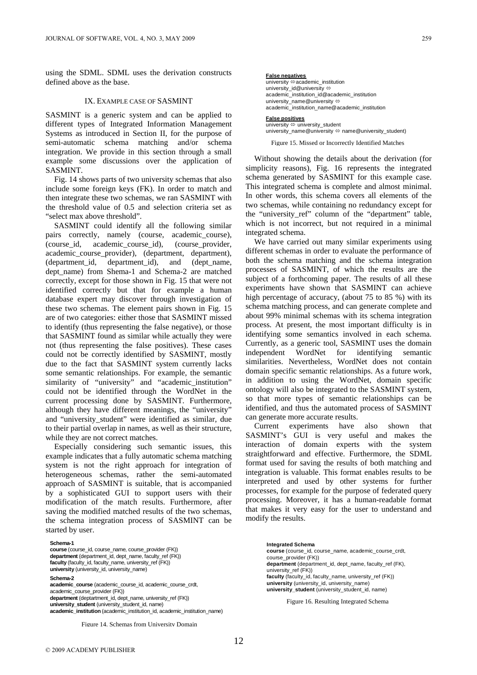using the SDML. SDML uses the derivation constructs defined above as the base.

#### IX. EXAMPLE CASE OF SASMINT

SASMINT is a generic system and can be applied to different types of Integrated Information Management Systems as introduced in Section II, for the purpose of semi-automatic schema matching and/or schema integration. We provide in this section through a small example some discussions over the application of SASMINT.

Fig. 14 shows parts of two university schemas that also include some foreign keys (FK). In order to match and then integrate these two schemas, we ran SASMINT with the threshold value of 0.5 and selection criteria set as "select max above threshold".

SASMINT could identify all the following similar pairs correctly, namely (course, academic\_course), (course\_id, academic\_course\_id), (course\_provider, academic\_course\_provider), (department, department), (department\_id, department\_id), and (dept\_name, dept name) from Shema-1 and Schema-2 are matched correctly, except for those shown in Fig. 15 that were not identified correctly but that for example a human database expert may discover through investigation of these two schemas. The element pairs shown in Fig. 15 are of two categories: either those that SASMINT missed to identify (thus representing the false negative), or those that SASMINT found as similar while actually they were not (thus representing the false positives). These cases could not be correctly identified by SASMINT, mostly due to the fact that SASMINT system currently lacks some semantic relationships. For example, the semantic similarity of "university" and "academic\_institution" could not be identified through the WordNet in the current processing done by SASMINT. Furthermore, although they have different meanings, the "university" and "university\_student" were identified as similar, due to their partial overlap in names, as well as their structure, while they are not correct matches.

Especially considering such semantic issues, this example indicates that a fully automatic schema matching system is not the right approach for integration of heterogeneous schemas, rather the semi-automated approach of SASMINT is suitable, that is accompanied by a sophisticated GUI to support users with their modification of the match results. Furthermore, after saving the modified matched results of the two schemas, the schema integration process of SASMINT can be started by user.

**Schema-1 course** (course\_id, course\_name, course\_provider (FK)) **department** (department\_id, dept\_name, faculty\_ref (FK)) **faculty** (faculty\_id, faculty\_name, university\_ref (FK)) **university** (university\_id, university\_name) **Schema-2 academic\_course** (academic\_course\_id, academic\_course\_crdt, academic\_course\_provider (FK)) **department** (deptartment\_id, dept\_name, university\_ref (FK)) **university\_student** (university\_student\_id, name) **academic\_institution** (academic\_institution\_id, academic\_institution\_name)

Figure 14. Schemas from University Domain

**False negatives** university  $\Leftrightarrow$  academic\_institution university\_id@university  $\Leftrightarrow$ academic\_institution\_id@academic\_institution university\_name@university  $\Leftrightarrow$ 

academic\_institution\_name@academic\_institution

**False positives**<br>university ⇔ university\_student university name@university  $\Leftrightarrow$  name@university student)

Figure 15. Missed or Incorrectly Identified Matches

Without showing the details about the derivation (for simplicity reasons), Fig. 16 represents the integrated schema generated by SASMINT for this example case. This integrated schema is complete and almost minimal. In other words, this schema covers all elements of the two schemas, while containing no redundancy except for the "university\_ref" column of the "department" table, which is not incorrect, but not required in a minimal integrated schema.

We have carried out many similar experiments using different schemas in order to evaluate the performance of both the schema matching and the schema integration processes of SASMINT, of which the results are the subject of a forthcoming paper. The results of all these experiments have shown that SASMINT can achieve high percentage of accuracy, (about 75 to 85 %) with its schema matching process, and can generate complete and about 99% minimal schemas with its schema integration process. At present, the most important difficulty is in identifying some semantics involved in each schema. Currently, as a generic tool, SASMINT uses the domain independent WordNet for identifying semantic similarities. Nevertheless, WordNet does not contain domain specific semantic relationships. As a future work, in addition to using the WordNet, domain specific ontology will also be integrated to the SASMINT system, so that more types of semantic relationships can be identified, and thus the automated process of SASMINT can generate more accurate results.

Current experiments have also shown that SASMINT's GUI is very useful and makes the interaction of domain experts with the system straightforward and effective. Furthermore, the SDML format used for saving the results of both matching and integration is valuable. This format enables results to be interpreted and used by other systems for further processes, for example for the purpose of federated query processing. Moreover, it has a human-readable format that makes it very easy for the user to understand and modify the results.

> **Integrated Schema course** (course\_id, course\_name, academic\_course\_crdt, course\_provider (FK)) **department** (department\_id, dept\_name, faculty\_ref (FK), university\_ref (FK)) **faculty** (faculty\_id, faculty\_name, university\_ref (FK)) **university** (university\_id, university\_name) **university\_student** (university\_student\_id, name)

Figure 16. Resulting Integrated Schema

© 2009 ACADEMY PUBLISHER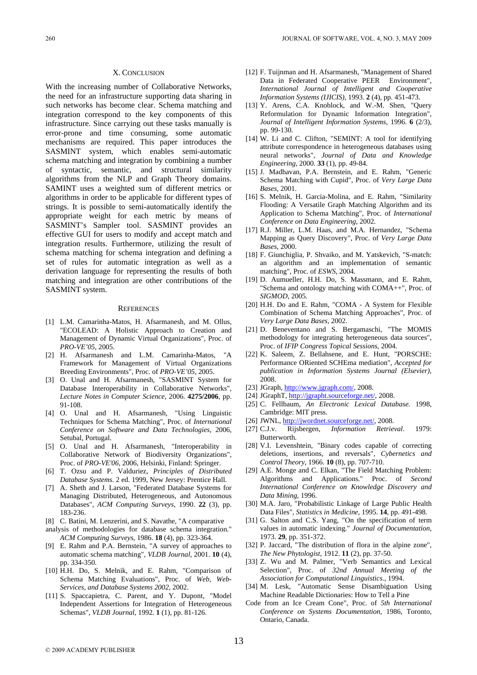#### X. CONCLUSION

With the increasing number of Collaborative Networks, the need for an infrastructure supporting data sharing in such networks has become clear. Schema matching and integration correspond to the key components of this infrastructure. Since carrying out these tasks manually is error-prone and time consuming, some automatic mechanisms are required. This paper introduces the SASMINT system, which enables semi-automatic schema matching and integration by combining a number of syntactic, semantic, and structural similarity algorithms from the NLP and Graph Theory domains. SAMINT uses a weighted sum of different metrics or algorithms in order to be applicable for different types of strings. It is possible to semi-automatically identify the appropriate weight for each metric by means of SASMINT's Sampler tool. SASMINT provides an effective GUI for users to modify and accept match and integration results. Furthermore, utilizing the result of schema matching for schema integration and defining a set of rules for automatic integration as well as a derivation language for representing the results of both matching and integration are other contributions of the SASMINT system.

#### **REFERENCES**

- [1] L.M. Camarinha-Matos, H. Afsarmanesh, and M. Ollus, "ECOLEAD: A Holistic Approach to Creation and Management of Dynamic Virtual Organizations", Proc. of *PRO-VE'05*, 2005.
- [2] H. Afsarmanesh and L.M. Camarinha-Matos, "A Framework for Management of Virtual Organizations Breeding Environments", Proc. of *PRO-VE'05*, 2005.
- [3] O. Unal and H. Afsarmanesh, "SASMINT System for Database Interoperability in Collaborative Networks"*, Lecture Notes in Computer Science*, 2006. **4275/2006**, pp. 91-108.
- [4] O. Unal and H. Afsarmanesh, "Using Linguistic Techniques for Schema Matching", Proc. of *International Conference on Software and Data Technologies*, 2006, Setubal, Portugal.
- [5] O. Unal and H. Afsarmanesh, "Interoperability in Collaborative Network of Biodiversity Organizations", Proc. of *PRO-VE'06*, 2006, Helsinki, Finland: Springer.
- [6] T. Ozsu and P. Valduriez, *Principles of Distributed Database Systems*. 2 ed. 1999, New Jersey: Prentice Hall.
- [7] A. Sheth and J. Larson, "Federated Database Systems for Managing Distributed, Heterogeneous, and Autonomous Databases"*, ACM Computing Surveys*, 1990. **22** (3), pp. 183-236.
- [8] C. Batini, M. Lenzerini, and S. Navathe, "A comparative
- analysis of methodologies for database schema integration." *ACM Computing Surveys*, 1986. **18** (4), pp. 323-364.
- [9] E. Rahm and P.A. Bernstein, "A survey of approaches to automatic schema matching"*, VLDB Journal*, 2001. **10** (4), pp. 334-350.
- [10] H.H. Do, S. Melnik, and E. Rahm, "Comparison of Schema Matching Evaluations", Proc. of *Web, Web-Services, and Database Systems 2002*, 2002.
- [11] S. Spaccapietra, C. Parent, and Y. Dupont, "Model Independent Assertions for Integration of Heterogeneous Schemas"*, VLDB Journal*, 1992. **1** (1), pp. 81-126.
- [12] F. Tuijnman and H. Afsarmanesh, "Management of Shared Data in Federated Cooperative PEER Environment"*, International Journal of Intelligent and Cooperative Information Systems (IJICIS)*, 1993. **2** (4), pp. 451-473.
- [13] Y. Arens, C.A. Knoblock, and W.-M. Shen, "Query Reformulation for Dynamic Information Integration"*, Journal of Intelligent Information Systems*, 1996. **6** (2/3), pp. 99-130.
- [14] W. Li and C. Clifton, "SEMINT: A tool for identifying attribute correspondence in heterogeneous databases using neural networks"*, Journal of Data and Knowledge Engineering*, 2000. **33** (1), pp. 49-84.
- [15] J. Madhavan, P.A. Bernstein, and E. Rahm, "Generic Schema Matching with Cupid", Proc. of *Very Large Data Bases*, 2001.
- [16] S. Melnik, H. Garcia-Molina, and E. Rahm, "Similarity Flooding: A Versatile Graph Matching Algorithm and its Application to Schema Matching", Proc. of *International Conference on Data Engineering*, 2002.
- [17] R.J. Miller, L.M. Haas, and M.A. Hernandez, "Schema Mapping as Query Discovery", Proc. of *Very Large Data Bases*, 2000.
- [18] F. Giunchiglia, P. Shvaiko, and M. Yatskevich, "S-match: an algorithm and an implementation of semantic matching", Proc. of *ESWS*, 2004.
- [19] D. Aumueller, H.H. Do, S. Massmann, and E. Rahm, "Schema and ontology matching with COMA++", Proc. of *SIGMOD*, 2005.
- [20] H.H. Do and E. Rahm, "COMA A System for Flexible Combination of Schema Matching Approaches", Proc. of *Very Large Data Bases*, 2002.
- [21] D. Beneventano and S. Bergamaschi, "The MOMIS methodology for integrating heterogeneous data sources", Proc. of *IFIP Congress Topical Sessions*, 2004.
- [22] K. Saleem, Z. Bellahsene, and E. Hunt, "PORSCHE: Performance ORiented SCHEma mediation"*, Accepted for publication in Information Systems Journal (Elsevier)*, 2008.
- [23] JGraph, <http://www.jgraph.com/>, 2008.
- [24] JGraphT, [http://jgrapht.sourceforge.net/,](http://jgrapht.sourceforge.net/) 2008.
- [25] C. Fellbaum, *An Electronic Lexical Database.* 1998, Cambridge: MIT press.
- [26] JWNL, [http://jwordnet.sourceforge.net/,](http://jwordnet.sourceforge.net/) 2008.
- [27] C.J.v. Rijsbergen, *Information Retrieval*. 1979: Butterworth.
- [28] V.I. Levenshtein, "Binary codes capable of correcting deletions, insertions, and reversals"*, Cybernetics and Control Theory*, 1966. **10** (8), pp. 707-710.
- [29] A.E. Monge and C. Elkan, "The Field Matching Problem: Algorithms and Applications." Proc. of *Second International Conference on Knowledge Discovery and Data Mining*, 1996.
- [30] M.A. Jaro, "Probabilistic Linkage of Large Public Health Data Files"*, Statistics in Medicine*, 1995. **14**, pp. 491-498.
- [31] G. Salton and C.S. Yang, "On the specification of term values in automatic indexing." *Journal of Documentation*, 1973. **29**, pp. 351-372.
- [32] P. Jaccard, "The distribution of flora in the alpine zone"*, The New Phytologist*, 1912. **11** (2), pp. 37-50.
- [33] Z. Wu and M. Palmer, "Verb Semantics and Lexical Selection", Proc. of *32nd Annual Meeting of the Association for Computational Linguistics.*, 1994.
- [34] M. Lesk, "Automatic Sense Disambiguation Using Machine Readable Dictionaries: How to Tell a Pine
- Code from an Ice Cream Cone", Proc. of *5th International Conference on Systems Documentation*, 1986, Toronto, Ontario, Canada.